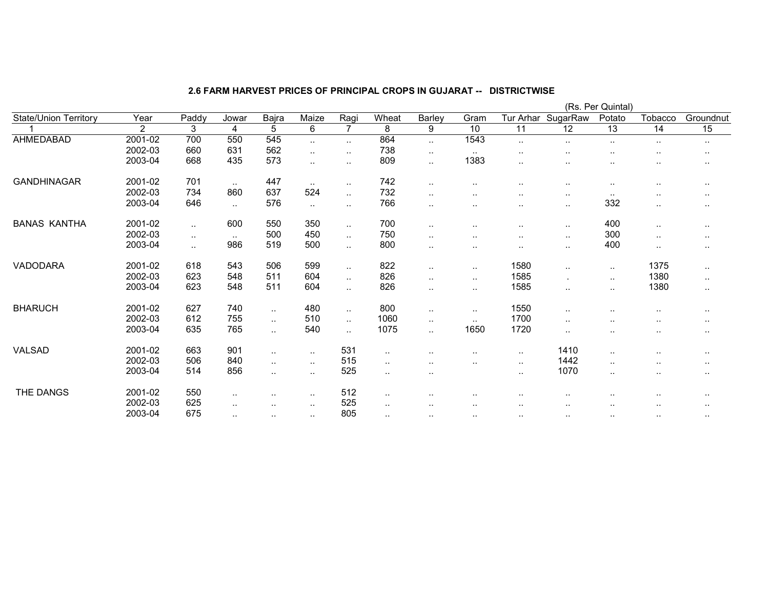|                              |                |           |               |               |                      |                      |           |                        |                        | (Rs. Per Quintal)    |               |           |               |           |  |
|------------------------------|----------------|-----------|---------------|---------------|----------------------|----------------------|-----------|------------------------|------------------------|----------------------|---------------|-----------|---------------|-----------|--|
| <b>State/Union Territory</b> | Year           | Paddy     | Jowar         | Bajra         | Maize                | Ragi                 | Wheat     | <b>Barley</b>          | Gram                   | Tur Arhar            | SugarRaw      | Potato    | Tobacco       | Groundnut |  |
|                              | $\overline{2}$ | 3         | 4             | 5             | 6                    | $\overline{7}$       | 8         | 9                      | 10                     | 11                   | 12            | 13        | 14            | 15        |  |
| AHMEDABAD                    | 2001-02        | 700       | 550           | 545           | $\ddotsc$            | $\ddotsc$            | 864       | $\ddotsc$              | 1543                   | $\ddotsc$            |               |           | $\ddotsc$     | $\cdot$ . |  |
|                              | 2002-03        | 660       | 631           | 562           | $\ddot{\phantom{1}}$ | $\sim$               | 738       | $\cdot$ .              | $\sim$                 |                      |               |           | $\sim$        | $\cdot$ . |  |
|                              | 2003-04        | 668       | 435           | 573           | $\ddotsc$            | $\ddotsc$            | 809       | $\ddot{\phantom{a}}$ . | 1383                   |                      |               |           | ٠.            | $\cdots$  |  |
| <b>GANDHINAGAR</b>           | 2001-02        | 701       | $\sim$ .      | 447           | $\sim$               | $\sim$               | 742       | $\ddotsc$              | ٠.                     |                      |               | $\sim$    | $\sim$        | $\cdot$ . |  |
|                              | 2002-03        | 734       | 860           | 637           | 524                  | $\sim$               | 732       | $\ddotsc$              | $\sim$                 | $\ddot{\phantom{a}}$ |               | $\sim$    | $\sim$        | $\cdots$  |  |
|                              | 2003-04        | 646       | $\sim$        | 576           | $\sim$               | $\sim$               | 766       | $\ddot{\phantom{a}}$   | $\sim$                 | $\sim$               | $\sim$        | 332       | $\ldots$      | $\cdot$ . |  |
| <b>BANAS KANTHA</b>          | 2001-02        | $\ddotsc$ | 600           | 550           | 350                  | $\ddot{\phantom{1}}$ | 700       | $\ddotsc$              | $\ddot{\phantom{a}}$   | $\ddotsc$            | $\sim$        | 400       | $\cdot$ .     | $\cdots$  |  |
|                              | 2002-03        | $\sim$    | $\sim$ $\sim$ | 500           | 450                  | $\sim$               | 750       | $\ddotsc$              | $\sim$                 | $\sim$               | $\sim$        | 300       | $\sim$        | $\cdot$ . |  |
|                              | 2003-04        |           | 986           | 519           | 500                  | $\ddot{\phantom{1}}$ | 800       | $\ddotsc$              | $\sim$                 | $\sim$               | $\sim$ $\sim$ | 400       | $\cdot$ .     | $\cdots$  |  |
| VADODARA                     | 2001-02        | 618       | 543           | 506           | 599                  | $\ldots$             | 822       | $\ddotsc$              | $\sim$                 | 1580                 |               | $\sim$    | 1375          | $\cdot$ . |  |
|                              | 2002-03        | 623       | 548           | 511           | 604                  | $\sim$               | 826       | $\sim$                 | $\sim$                 | 1585                 |               | $\sim$    | 1380          | $\cdot$ . |  |
|                              | 2003-04        | 623       | 548           | 511           | 604                  | $\sim$               | 826       | $\ddotsc$              | $\ddot{\phantom{a}}$ . | 1585                 | . .           | $\sim$    | 1380          | $\sim$    |  |
| <b>BHARUCH</b>               | 2001-02        | 627       | 740           | $\ddotsc$     | 480                  | $\ddotsc$            | 800       | $\ddotsc$              | $\sim$                 | 1550                 | $\cdot$ .     |           |               |           |  |
|                              | 2002-03        | 612       | 755           | $\ddotsc$     | 510                  | $\sim$               | 1060      | $\ddotsc$              | $\ddot{\phantom{a}}$ . | 1700                 |               | $\sim$    | $\sim$        | $\cdot$ . |  |
|                              | 2003-04        | 635       | 765           | $\ddotsc$     | 540                  | $\ddotsc$            | 1075      | $\ddotsc$              | 1650                   | 1720                 |               |           | ٠.            | $\cdot$ . |  |
| VALSAD                       | 2001-02        | 663       | 901           | $\ddotsc$     | $\sim$               | 531                  | $\sim$    | $\ddot{\phantom{a}}$   | $\sim$                 | $\sim$               | 1410          | $\sim$    | $\sim$        | $\cdots$  |  |
|                              | 2002-03        | 506       | 840           | $\cdot$ .     | $\sim$               | 515                  | $\sim$    | $\ddot{\phantom{a}}$   | $\sim$                 | $\sim$ $\sim$        | 1442          | $\cdot$ . | $\sim$ $\sim$ | $\cdots$  |  |
|                              | 2003-04        | 514       | 856           | $\cdot$ .     | $\sim$               | 525                  | $\sim$    | $\ddot{\phantom{1}}$ . |                        | $\sim$ $\sim$        | 1070          | $\cdot$ . | $\sim$        | $\cdots$  |  |
| THE DANGS                    | 2001-02        | 550       | $\sim$ $\sim$ | $\sim$ $\sim$ | $\sim$               | 512                  | $\cdot$ . |                        |                        | $\ddot{\phantom{a}}$ |               |           | $\sim$        | $\cdots$  |  |
|                              | 2002-03        | 625       | $\ddotsc$     | . .           | $\sim$               | 525                  | ٠.        |                        | $\ddot{\phantom{a}}$   | $\ddot{\phantom{a}}$ |               |           |               |           |  |
|                              | 2003-04        | 675       | $\ddotsc$     | $\ddotsc$     | $\sim$               | 805                  | $\sim$    | $\sim$                 | $\cdot$ .              | $\cdot$ .            |               | $\sim$    | $\sim$        | $\cdot$ . |  |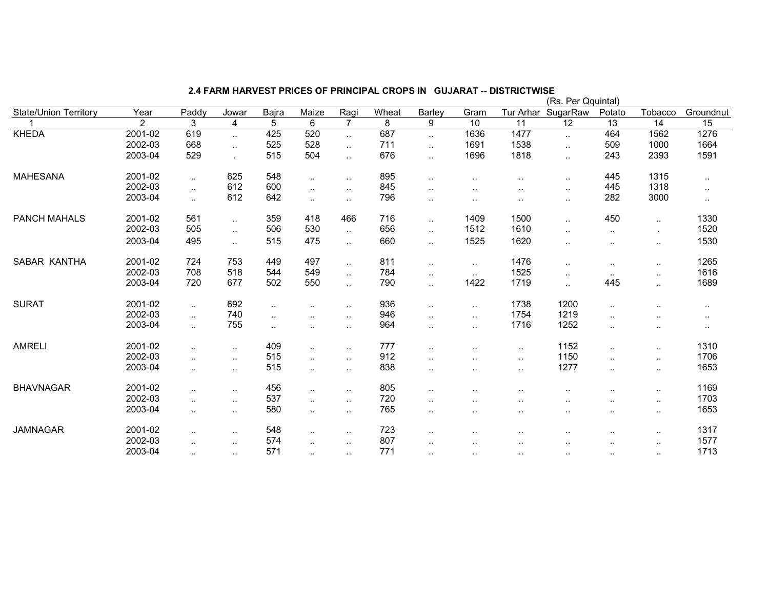| <b>State/Union Territory</b> | Year    | Paddy                | Jowar     | Bajra                | Maize                | Ragi                 | Wheat | <b>Barley</b>          | Gram                 | Tur Arhar       | (Rs. Per Qquintal)<br>SugarRaw | Potato               | Tobacco                | Groundnut       |
|------------------------------|---------|----------------------|-----------|----------------------|----------------------|----------------------|-------|------------------------|----------------------|-----------------|--------------------------------|----------------------|------------------------|-----------------|
|                              | 2       | 3                    | 4         | 5                    | 6                    | $\overline{7}$       | 8     | 9                      | $\overline{10}$      | $\overline{11}$ | 12                             | $\overline{13}$      | $\overline{14}$        | $\overline{15}$ |
| KHEDA                        | 2001-02 | 619                  | $\sim$    | 425                  | 520                  | $\ddotsc$            | 687   | $\ddotsc$              | 1636                 | 1477            | $\sim$ $\sim$                  | 464                  | 1562                   | 1276            |
|                              | 2002-03 | 668                  | $\ddotsc$ | 525                  | 528                  | $\ddot{\phantom{a}}$ | 711   | $\ddotsc$              | 1691                 | 1538            | $\cdot$ .                      | 509                  | 1000                   | 1664            |
|                              | 2003-04 | 529                  |           | 515                  | 504                  | $\ddotsc$            | 676   | $\ddotsc$              | 1696                 | 1818            | $\sim$ $\sim$                  | 243                  | 2393                   | 1591            |
| <b>MAHESANA</b>              | 2001-02 | $\ddotsc$            | 625       | 548                  | $\ddotsc$            | $\ddot{\phantom{a}}$ | 895   | $\ddotsc$              | $\ddot{\phantom{a}}$ | $\ddotsc$       | $\cdot$ .                      | 445                  | 1315                   | $\cdot$ .       |
|                              | 2002-03 | $\ddotsc$            | 612       | 600                  | $\sim$               | $\sim$               | 845   | $\ddot{\phantom{a}}$ . | $\sim$ $\sim$        | $\sim$          | $\sim$                         | 445                  | 1318                   | $\sim$          |
|                              | 2003-04 | $\ddotsc$            | 612       | 642                  | ٠.                   | $\sim$               | 796   | $\ddot{\phantom{a}}$ . | $\ddot{\phantom{a}}$ | ٠.              | $\cdot$ .                      | 282                  | 3000                   | $\sim$          |
| <b>PANCH MAHALS</b>          | 2001-02 | 561                  | $\sim$    | 359                  | 418                  | 466                  | 716   | $\ddotsc$              | 1409                 | 1500            | $\cdot$                        | 450                  | $\ddotsc$              | 1330            |
|                              | 2002-03 | 505                  | $\ddotsc$ | 506                  | 530                  | $\ddotsc$            | 656   | $\ddotsc$              | 1512                 | 1610            | $\ddotsc$                      | $\ddotsc$            | $\cdot$                | 1520            |
|                              | 2003-04 | 495                  | $\sim$    | 515                  | 475                  | $\ddotsc$            | 660   | $\ddotsc$              | 1525                 | 1620            | $\ddotsc$                      | $\ddot{\phantom{a}}$ | $\ldots$               | 1530            |
| SABAR KANTHA                 | 2001-02 | 724                  | 753       | 449                  | 497                  | $\ddotsc$            | 811   | $\sim$                 | $\ddotsc$            | 1476            | $\cdot$ .                      | $\sim$               | $\cdot$ .              | 1265            |
|                              | 2002-03 | 708                  | 518       | 544                  | 549                  | $\ddotsc$            | 784   | $\sim$                 | $\sim$               | 1525            | $\cdot$ .                      | $\sim$               | $\cdot$ .              | 1616            |
|                              | 2003-04 | 720                  | 677       | 502                  | 550                  | $\ddotsc$            | 790   | $\ddotsc$              | 1422                 | 1719            | $\sim$ $\sim$                  | 445                  | $\ddotsc$              | 1689            |
| <b>SURAT</b>                 | 2001-02 | $\cdot$ .            | 692       | $\ddotsc$            | $\ddotsc$            | $\sim$               | 936   | $\ddotsc$              | $\ddotsc$            | 1738            | 1200                           | $\cdot$ .            | $\sim$                 | $\cdot$ .       |
|                              | 2002-03 | $\ddotsc$            | 740       | $\ddot{\phantom{a}}$ |                      | $\sim$               | 946   | $\cdot$ .              | $\ddotsc$            | 1754            | 1219                           | $\cdot$ .            | $\sim$                 | $\sim$          |
|                              | 2003-04 | $\ddotsc$            | 755       | $\ddotsc$            |                      | $\sim$               | 964   | $\ddotsc$              | $\ddotsc$            | 1716            | 1252                           | $\ddotsc$            | $\cdot$ .              | $\sim$          |
| <b>AMRELI</b>                | 2001-02 | $\ddotsc$            | $\sim$    | 409                  | $\ddotsc$            | $\sim$               | 777   | $\sim$ $\sim$          | $\sim$ $\sim$        | $\sim$          | 1152                           | $\ddotsc$            | $\cdot$ .              | 1310            |
|                              | 2002-03 | $\ddotsc$            | $\ldots$  | 515                  | $\sim$               | $\ddotsc$            | 912   | $\cdot$ .              | $\sim$ $\sim$        | $\sim$          | 1150                           | $\ddotsc$            | $\sim$                 | 1706            |
|                              | 2003-04 | $\ddotsc$            | $\sim$    | 515                  | $\sim$               | $\sim$               | 838   | $\cdot$ .              | $\ddotsc$            | $\sim$          | 1277                           | $\cdot$ .            | $\sim$                 | 1653            |
| <b>BHAVNAGAR</b>             | 2001-02 | $\ddotsc$            | $\sim$    | 456                  | $\sim$               | $\sim$               | 805   | $\sim$ $\sim$          | $\sim$ $\sim$        | $\sim$          | $\sim$ $\sim$                  | $\sim$               | $\cdot$ .              | 1169            |
|                              | 2002-03 | $\ddot{\phantom{a}}$ | $\ddotsc$ | 537                  | $\ddotsc$            | $\sim$               | 720   | $\ddotsc$              | $\ddot{\phantom{a}}$ |                 | $\cdot$ .                      | $\ddot{\phantom{a}}$ | $\ddotsc$              | 1703            |
|                              | 2003-04 | $\ddotsc$            | $\sim$    | 580                  |                      | $\sim$               | 765   | $\cdot$ .              | $\sim$               |                 | $\sim$ $\sim$                  | $\cdot$ .            | $\sim$                 | 1653            |
| <b>JAMNAGAR</b>              | 2001-02 |                      | $\sim$    | 548                  |                      | $\sim$               | 723   | $\cdot$ .              |                      |                 |                                | $\sim$               | $\cdot$ .              | 1317            |
|                              | 2002-03 |                      | $\sim$    | 574                  |                      | $\sim$               | 807   | $\cdot$ .              | $\sim$ $\sim$        | $\sim$          | $\sim$                         | $\sim$               | $\ddot{\phantom{a}}$ . | 1577            |
|                              | 2003-04 |                      | $\sim$    | 571                  | $\ddot{\phantom{a}}$ | $\sim$               | 771   | $\cdot$ .              | $\sim$               | $\sim$ $\sim$   | $\sim$ $\sim$                  | $\sim$               | $\sim$                 | 1713            |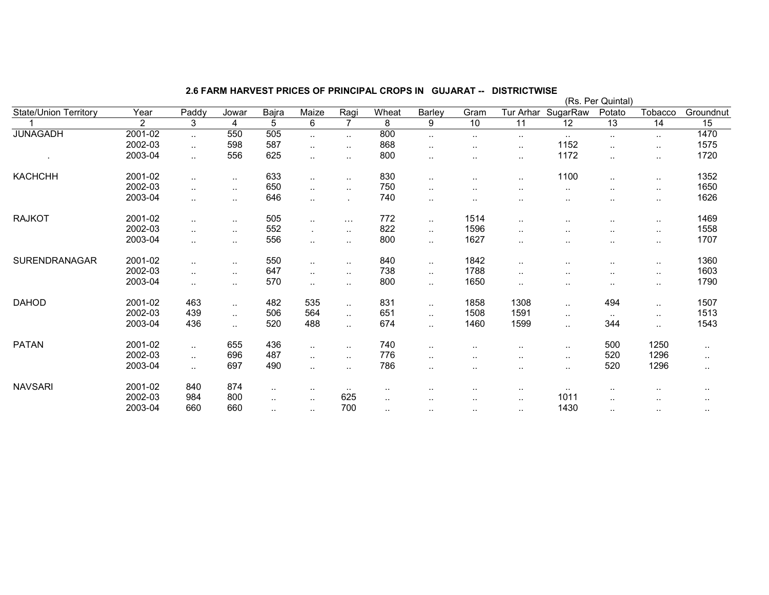|                              |                |               |                        |           |                |                      |           |                      |                      |           |               | (Rs. Per Quintal) |           |           |
|------------------------------|----------------|---------------|------------------------|-----------|----------------|----------------------|-----------|----------------------|----------------------|-----------|---------------|-------------------|-----------|-----------|
| <b>State/Union Territory</b> | Year           | Paddy         | Jowar                  | Bajra     | Maize          | Ragi                 | Wheat     | Barley               | Gram                 | Tur Arhar | SugarRaw      | Potato            | Tobacco   | Groundnut |
|                              | $\overline{2}$ | 3             | 4                      | 5         | 6              | $\overline{7}$       | 8         | 9                    | 10                   | 11        | 12            | 13                | 14        | 15        |
| <b>JUNAGADH</b>              | 2001-02        | $\sim$        | 550                    | 505       | $\sim$         | $\sim$               | 800       | $\sim$               | $\cdot$ .            | $\sim$    | $\sim$        | $\sim$            | $\sim$    | 1470      |
|                              | 2002-03        |               | 598                    | 587       | $\sim$         | $\sim$               | 868       | ٠.                   | $\sim$               | $\sim$    | 1152          | $\cdot$ .         | $\ldots$  | 1575      |
|                              | 2003-04        | $\cdot$ .     | 556                    | 625       | $\sim$         | $\sim$               | 800       | $\sim$               |                      | $\sim$    | 1172          | $\sim$            | $\sim$    | 1720      |
| <b>KACHCHH</b>               | 2001-02        | $\ddotsc$     | $\cdot$ .              | 633       | $\ldots$       | $\sim$               | 830       |                      |                      | $\ddotsc$ | 1100          | $\ddotsc$         | $\cdot$ . | 1352      |
|                              | 2002-03        |               | $\cdot$ .              | 650       | $\sim$         | $\sim$               | 750       | $\sim$               | . .                  |           | $\sim$ $\sim$ | $\sim$            | $\ldots$  | 1650      |
|                              | 2003-04        | $\ddotsc$     | $\ddotsc$              | 646       | $\ddotsc$      | ٠                    | 740       | $\ddotsc$            | . .                  |           | $\sim$ $\sim$ | $\sim$            | $\sim$    | 1626      |
| <b>RAJKOT</b>                | 2001-02        | $\ddotsc$     | $\ddotsc$              | 505       | $\ddotsc$      | $\sim$ $\sim$ $\sim$ | 772       | $\cdot$ .            | 1514                 | $\ddotsc$ |               |                   | $\sim$    | 1469      |
|                              | 2002-03        |               | $\ddotsc$              | 552       | $\blacksquare$ | $\sim$               | 822       | $\ddotsc$            | 1596                 | $\ddotsc$ | $\cdot$ .     | $\ddotsc$         | $\sim$    | 1558      |
|                              | 2003-04        | $\sim$        | $\cdot$ .              | 556       | $\sim$         | $\ddot{\phantom{1}}$ | 800       | $\ddotsc$            | 1627                 | $\sim$    |               | $\sim$            | $\sim$    | 1707      |
| SURENDRANAGAR                | 2001-02        | $\ddotsc$     | $\cdot$ .              | 550       | $\sim$         | $\sim$               | 840       | $\sim$               | 1842                 | $\sim$    | $\sim$        | $\sim$            | $\sim$    | 1360      |
|                              | 2002-03        | . .           | $\ddotsc$              | 647       | $\ldots$       | $\sim$ $\sim$        | 738       | $\ddotsc$            | 1788                 | $\ddotsc$ | $\sim$ $\sim$ | $\ddotsc$         | $\sim$    | 1603      |
|                              | 2003-04        | $\cdot$ .     | $\ddot{\phantom{a}}$   | 570       | $\sim$         | $\ddot{\phantom{1}}$ | 800       | $\cdot$ .            | 1650                 | $\sim$    | $\cdot$ .     | $\sim$            | $\sim$    | 1790      |
| <b>DAHOD</b>                 | 2001-02        | 463           | $\ddot{\phantom{a}}$ . | 482       | 535            | $\ddotsc$            | 831       | $\ddot{\phantom{1}}$ | 1858                 | 1308      | $\cdot$ .     | 494               | $\ddotsc$ | 1507      |
|                              | 2002-03        | 439           | $\ddotsc$              | 506       | 564            | $\ddotsc$            | 651       | $\ddotsc$            | 1508                 | 1591      | $\sim$ $\sim$ | $\sim$            | $\cdot$ . | 1513      |
|                              | 2003-04        | 436           | $\ddotsc$              | 520       | 488            | $\ddot{\phantom{1}}$ | 674       | $\sim$               | 1460                 | 1599      | $\ddotsc$     | 344               | $\cdot$ . | 1543      |
| <b>PATAN</b>                 | 2001-02        | $\sim$        | 655                    | 436       | $\sim$         | $\sim$               | 740       | $\sim$               | $\ddot{\phantom{1}}$ |           |               | 500               | 1250      | $\cdots$  |
|                              | 2002-03        | $\sim$ $\sim$ | 696                    | 487       | $\ldots$       | $\ddotsc$            | 776       | $\sim$               | $\cdot$ .            | $\ddotsc$ | $\cdot$ .     | 520               | 1296      | $\sim$    |
|                              | 2003-04        | $\sim$        | 697                    | 490       | $\sim$         | $\sim$               | 786       | $\sim$               | $\cdots$             | $\sim$    | $\sim$        | 520               | 1296      | $\cdots$  |
| <b>NAVSARI</b>               | 2001-02        | 840           | 874                    | $\cdot$ . | $\sim$ $\sim$  | $\sim$               |           | $\sim$               | . .                  | $\sim$    | $\sim$        |                   |           |           |
|                              | 2002-03        | 984           | 800                    | $\cdot$ . | $\sim$         | 625                  |           |                      | $\cdot$ .            | $\sim$    | 1011          |                   | $\ddotsc$ | $\cdot$ . |
|                              | 2003-04        | 660           | 660                    | $\cdot$ . | $\cdot$ .      | 700                  | $\cdot$ . | $\cdots$             | $\cdot$ .            |           | 1430          | $\cdot$ .         | $\cdots$  |           |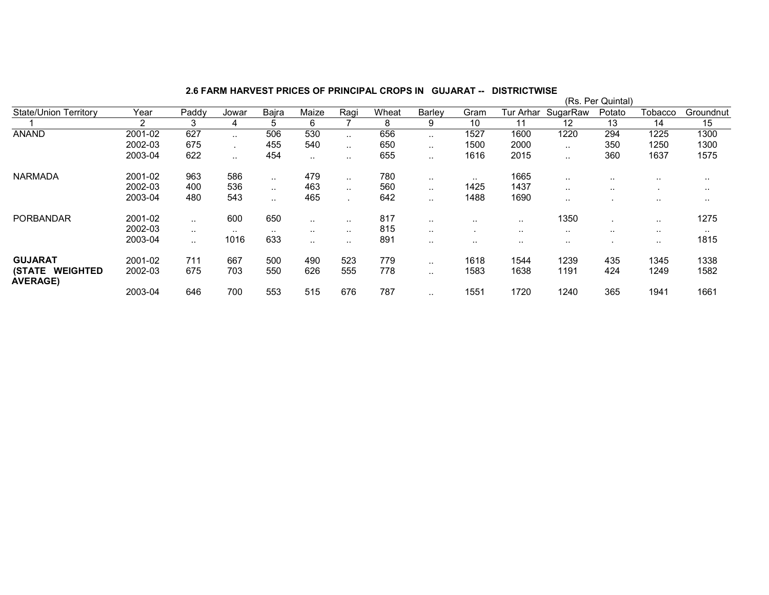|                                    |         |           |           |           |               |               |       |                      |                      |               |           | (Rs. Per Quintal) |               |               |
|------------------------------------|---------|-----------|-----------|-----------|---------------|---------------|-------|----------------------|----------------------|---------------|-----------|-------------------|---------------|---------------|
| <b>State/Union Territory</b>       | Year    | Paddy     | Jowar     | Bajra     | Maize         | Ragi          | Wheat | Barley               | Gram                 | Tur Arhar     | SugarRaw  | Potato            | Tobacco       | Groundnut     |
|                                    | 2       | 3         | 4         | 5         | 6             |               | 8     | 9                    | 10                   | 11            | 12        | 13                | 14            | 15            |
| <b>ANAND</b>                       | 2001-02 | 627       | $\ddotsc$ | 506       | 530           | $\ddotsc$     | 656   | $\ddot{\phantom{a}}$ | 1527                 | 1600          | 1220      | 294               | 1225          | 1300          |
|                                    | 2002-03 | 675       |           | 455       | 540           | $\ddotsc$     | 650   | $\sim$ $\sim$        | 1500                 | 2000          | . .       | 350               | 1250          | 1300          |
|                                    | 2003-04 | 622       | $\ddotsc$ | 454       | $\cdot$ .     |               | 655   |                      | 1616                 | 2015          |           | 360               | 1637          | 1575          |
| <b>NARMADA</b>                     | 2001-02 | 963       | 586       |           | 479           | $\cdot$ .     | 780   | $\sim$ $\sim$        | $\ddot{\phantom{0}}$ | 1665          | $\cdots$  | $\cdots$          |               | $\cdot$ .     |
|                                    | 2002-03 | 400       | 536       | $\cdot$ . | 463           | $\sim$ $\sim$ | 560   | $\sim$ $\sim$        | 1425                 | 1437          | $\cdot$ . | $\cdots$          |               | $\sim$ $\sim$ |
|                                    | 2003-04 | 480       | 543       | $\cdot$ . | 465           |               | 642   |                      | 1488                 | 1690          | . .       |                   | $\cdot$ .     | $\cdot$ .     |
| <b>PORBANDAR</b>                   | 2001-02 | $\sim$    | 600       | 650       | $\sim$ $\sim$ | $\ddotsc$     | 817   | $\sim$ $\sim$        | $\sim$ $\sim$        | $\sim$ $\sim$ | 1350      |                   | $\sim$ $\sim$ | 1275          |
|                                    | 2002-03 | $\cdot$ . | $\cdot$ . | $\cdot$ . | $\sim$ $\sim$ | $\sim$ $\sim$ | 815   | $\sim$ $\sim$        |                      | $\sim$ $\sim$ | $\cdots$  | $\sim$ $\sim$     | $\sim$ $\sim$ | $\cdot$ .     |
|                                    | 2003-04 | . .       | 1016      | 633       | $\sim$        |               | 891   | $\sim$ $\sim$        | $\cdot$ .            |               | $\cdots$  |                   | $\sim$ $\sim$ | 1815          |
| <b>GUJARAT</b>                     | 2001-02 | 711       | 667       | 500       | 490           | 523           | 779   | $\sim$ $\sim$        | 1618                 | 1544          | 1239      | 435               | 1345          | 1338          |
| (STATE WEIGHTED<br><b>AVERAGE)</b> | 2002-03 | 675       | 703       | 550       | 626           | 555           | 778   |                      | 1583                 | 1638          | 1191      | 424               | 1249          | 1582          |
|                                    | 2003-04 | 646       | 700       | 553       | 515           | 676           | 787   |                      | 1551                 | 1720          | 1240      | 365               | 1941          | 1661          |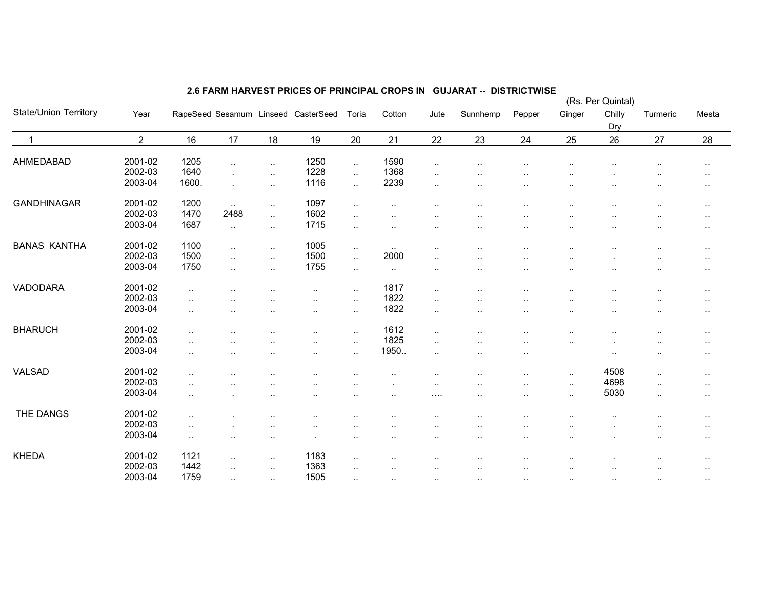|                              |                |                      |                      |                      |                                     |              |               |                      |                      |                        |                      | (Rs. Per Quintal)    |                      |                     |
|------------------------------|----------------|----------------------|----------------------|----------------------|-------------------------------------|--------------|---------------|----------------------|----------------------|------------------------|----------------------|----------------------|----------------------|---------------------|
| <b>State/Union Territory</b> | Year           |                      |                      |                      | RapeSeed Sesamum Linseed CasterSeed | Toria        | Cotton        | Jute                 | Sunnhemp             | Pepper                 | Ginger               | Chilly<br>Dry        | Turmeric             | Mesta               |
| $\overline{1}$               | $\overline{2}$ | 16                   | 17                   | 18                   | 19                                  | 20           | 21            | 22                   | 23                   | 24                     | 25                   | 26                   | 27                   | 28                  |
| AHMEDABAD                    | 2001-02        | 1205                 | $\ddotsc$            | $\ddotsc$            | 1250                                | $\sim$       | 1590          | $\sim$               |                      |                        |                      | $\ddot{\phantom{1}}$ |                      | $\cdot$ .           |
|                              | 2002-03        | 1640                 |                      | $\ddotsc$            | 1228                                | $\ddotsc$    | 1368          | $\cdot$ .            | $\cdot$ .            | $\cdot$ .              |                      |                      | $\cdot$ .            |                     |
|                              | 2003-04        | 1600.                |                      | $\ddotsc$            | 1116                                | $\mathbf{L}$ | 2239          | $\cdot$ .            | $\ddot{\phantom{a}}$ |                        | $\cdot$ .            |                      | ٠.                   | $\sim$<br>$\cdot$ . |
|                              |                |                      |                      |                      |                                     |              |               |                      |                      |                        |                      |                      |                      |                     |
| <b>GANDHINAGAR</b>           | 2001-02        | 1200                 | $\ddots$             | $\ddot{\phantom{1}}$ | 1097                                | $\ldots$     | $\sim$ $\sim$ | $\ddot{\phantom{a}}$ | $\sim$               | $\ddot{\phantom{a}}$ . | $\sim$               | $\sim$               | $\cdot$ .            | $\sim$              |
|                              | 2002-03        | 1470                 | 2488                 | $\ddotsc$            | 1602                                | $\sim$       | $\cdot$ .     | $\cdot$ .            |                      |                        | $\sim$               |                      | ٠.                   | $\sim$              |
|                              | 2003-04        | 1687                 | $\ldots$             | $\ddot{\phantom{1}}$ | 1715                                | $\sim$       | $\cdot$ .     | $\cdot$ .            |                      | $\cdot$ .              | $\ddotsc$            |                      | ٠.                   | $\sim$              |
| <b>BANAS KANTHA</b>          | 2001-02        | 1100                 | $\sim$ $\sim$        | $\sim$               | 1005                                | $\sim$       | $\ldots$      | $\cdot$ .            | $\cdot$ .            | $\ddot{\phantom{a}}$   |                      | $\ddot{\phantom{a}}$ | $\cdot$ .            | $\ddotsc$           |
|                              | 2002-03        | 1500                 |                      |                      | 1500                                | $\ddotsc$    | 2000          |                      |                      |                        |                      |                      |                      |                     |
|                              | 2003-04        | 1750                 | $\sim$ $\sim$        | $\ddot{\phantom{1}}$ | 1755                                |              |               | $\cdot$ .            | ٠.                   |                        |                      |                      | $\cdot$ .            | $\ddotsc$           |
|                              |                |                      | $\ddot{\phantom{a}}$ | $\ddotsc$            |                                     | $\ldots$     | $\cdot$ .     | $\cdot$ .            | ٠.                   |                        | ٠.                   | ٠.                   |                      | $\sim$              |
| VADODARA                     | 2001-02        | $\ddot{\phantom{a}}$ |                      | $\ddot{\phantom{a}}$ | $\cdot$ .                           | $\sim$       | 1817          | $\cdot$ .            | $\cdot$ .            | $\cdot$ .              |                      |                      | ٠.                   | $\sim$              |
|                              | 2002-03        | $\ddot{\phantom{a}}$ |                      |                      |                                     | $\sim$       | 1822          | $\cdot$ .            |                      |                        |                      |                      | $\cdot$              | $\cdot$ .           |
|                              | 2003-04        | $\cdot$ .            | $\cdot$ .            | ٠.                   | $\cdot$ .                           | $\sim$       | 1822          | $\cdot$ .            | $\ddot{\phantom{a}}$ |                        | $\cdot$ .            | ٠.                   | ٠.                   | $\sim$              |
| <b>BHARUCH</b>               | 2001-02        |                      |                      |                      |                                     |              | 1612          |                      |                      |                        |                      |                      |                      |                     |
|                              | 2002-03        | $\ddot{\phantom{a}}$ |                      | $\ddot{\phantom{a}}$ | $\cdot$ .                           | $\ldots$     | 1825          | $\ldots$             | $\cdot$ .            | $\cdot$ .              | ٠.                   | $\sim$               | ٠.                   | $\sim$              |
|                              | 2003-04        | $\ddotsc$            |                      |                      |                                     | $\sim$       |               | $\ldots$             | ٠.                   |                        | $\ddot{\phantom{a}}$ |                      |                      | $\sim$              |
|                              |                | $\cdot$ .            |                      | ٠.                   | $\cdot$ .                           | $\ldots$     | 1950          | $\cdot$ .            | $\cdot$ .            | $\ddotsc$              |                      | $\sim$               | $\ddotsc$            | $\sim$ $\sim$       |
| VALSAD                       | 2001-02        | $\cdot$ .            |                      |                      |                                     |              |               |                      |                      |                        | $\cdot$ .            | 4508                 | $\ddot{\phantom{a}}$ | $\sim$              |
|                              | 2002-03        | $\ddotsc$            |                      | ٠.                   | ٠.                                  | $\ddotsc$    |               | $\cdot$ .            | ٠.                   |                        | $\sim$               | 4698                 | $\ldots$             | $\sim$              |
|                              | 2003-04        | $\ddotsc$            |                      | ٠.                   | $\sim$                              | $\sim$       | $\sim$ $\sim$ | $\cdots$             | $\sim$               |                        | $\sim$               | 5030                 | $\ldots$             | $\sim$              |
|                              |                |                      |                      |                      |                                     |              |               |                      |                      |                        |                      |                      |                      |                     |
| THE DANGS                    | 2001-02        | $\cdot$ .            |                      |                      |                                     | ٠.           |               |                      |                      |                        |                      |                      |                      | $\sim$              |
|                              | 2002-03        | $\sim$               |                      | $\ddot{\phantom{a}}$ | $\sim$                              | $\sim$       |               | $\ddot{\phantom{a}}$ | $\cdot$ .            |                        | $\cdot$ .            |                      | $\ddotsc$            | $\sim$              |
|                              | 2003-04        | $\cdot$ .            | $\cdot$ .            | $\sim$               |                                     | $\sim$       | $\cdot$ .     | $\cdot$ .            | $\cdot$ .            |                        | $\cdot$ .            |                      | $\cdot$ .            | $\sim$              |
| <b>KHEDA</b>                 | 2001-02        | 1121                 |                      | $\sim$               | 1183                                | $\sim$       |               | $\ddotsc$            | $\cdot$ .            | $\cdot$ .              | $\ddotsc$            |                      | $\cdot$ .            | $\sim$              |
|                              | 2002-03        | 1442                 | $\sim$ $\sim$        | $\ddotsc$            | 1363                                | $\ddotsc$    | $\cdot$ .     | $\ddotsc$            | $\cdot$ .            | $\ddot{\phantom{a}}$   | $\ddotsc$            | $\ddot{\phantom{1}}$ | $\ddot{\phantom{a}}$ | $\sim$              |
|                              | 2003-04        | 1759                 | $\ddot{\phantom{a}}$ | $\ddotsc$            | 1505                                | $\ddotsc$    |               | $\cdot$ .            | $\ldots$             | $\cdot$ .              | $\sim$               | $\sim$               | $\ldots$             | $\sim$              |
|                              |                |                      |                      |                      |                                     |              |               |                      |                      |                        |                      |                      |                      |                     |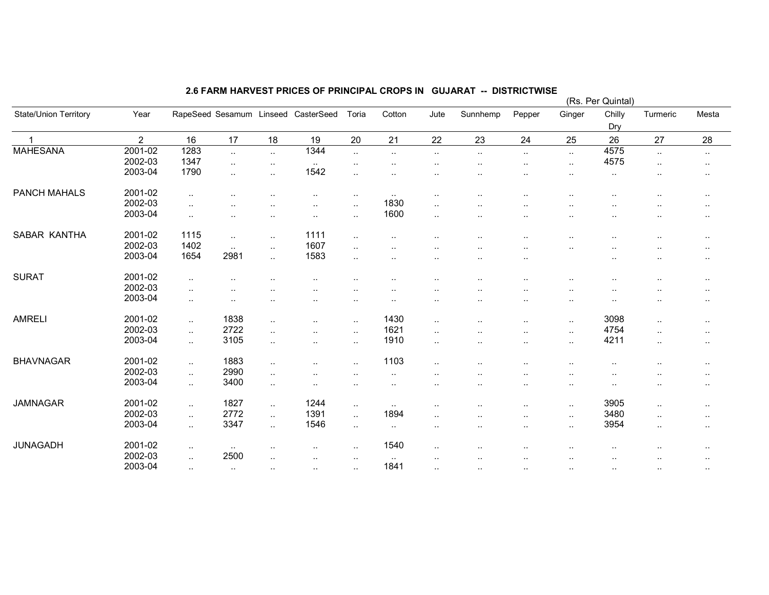|                              |                |                |               |                        |                                     |                      |           |                      |                      |                      |                      | (Rs. Per Quintal)    |                      |                      |
|------------------------------|----------------|----------------|---------------|------------------------|-------------------------------------|----------------------|-----------|----------------------|----------------------|----------------------|----------------------|----------------------|----------------------|----------------------|
| <b>State/Union Territory</b> | Year           |                |               |                        | RapeSeed Sesamum Linseed CasterSeed | Toria                | Cotton    | Jute                 | Sunnhemp             | Pepper               | Ginger               | Chilly<br>Dry        | Turmeric             | Mesta                |
|                              | $\overline{2}$ | 16             | 17            | 18                     | 19                                  | 20                   | 21        | 22                   | 23                   | 24                   | 25                   | 26                   | 27                   | 28                   |
| <b>MAHESANA</b>              | 2001-02        | 1283           | $\ddotsc$     | $\sim$                 | 1344                                | $\ddotsc$            | $\ldots$  | $\ddotsc$            | $\cdot$ .            | $\ddotsc$            | $\ddotsc$            | 4575                 | $\ddotsc$            | $\sim$               |
|                              | 2002-03        | 1347           | ٠.            | $\sim$                 | $\sim$                              | $\sim$               | $\cdot$ . | $\ddot{\phantom{0}}$ | $\ddot{\phantom{a}}$ | ٠.                   | $\sim$               | 4575                 | $\cdot$ .            | $\sim$               |
|                              | 2003-04        | 1790           | $\ddotsc$     | $\ddotsc$              | 1542                                | $\ddotsc$            | $\cdot$ . |                      | $\cdot$ .            | $\cdot$              | $\ddotsc$            | $\cdot$ .            | $\ddot{\phantom{0}}$ | $\sim$               |
| <b>PANCH MAHALS</b>          | 2001-02        | $\ddotsc$      | $\cdot$ .     | $\ddot{\phantom{a}}$   | $\ddotsc$                           | $\sim$               | $\sim$    | $\cdot$ .            | $\cdot$ .            | $\cdot$ .            | $\ddot{\phantom{a}}$ | $\ddot{\phantom{a}}$ |                      | $\sim$               |
|                              | 2002-03        | $\ddotsc$      |               |                        | $\sim$                              | $\ldots$             | 1830      | $\cdot$ .            |                      | $\ddot{\phantom{0}}$ | $\ddot{\phantom{a}}$ |                      |                      | $\sim$ $\sim$        |
|                              | 2003-04        | $\cdot$ .      | $\ddotsc$     | $\ddot{\phantom{a}}$ . | $\cdot$ .                           | $\sim$               | 1600      | $\sim$               | $\sim$ $\sim$        | $\cdot$ .            | $\sim$               | $\sim$               | ٠.                   | $\sim$               |
| SABAR KANTHA                 | 2001-02        | 1115           | $\ldots$      | $\sim$                 | 1111                                | $\sim$               | $\cdot$ . | $\sim$ $\sim$        |                      | $\sim$               | ٠.                   | $\sim$               |                      | $\sim$               |
|                              | 2002-03        | 1402           | $\ddotsc$     | $\ddotsc$              | 1607                                | $\ddotsc$            | $\cdot$ . |                      | $\cdot$ .            | $\ddot{\phantom{a}}$ | $\ddot{\phantom{a}}$ | $\ddotsc$            | $\cdot$ .            | $\sim$               |
|                              | 2003-04        | 1654           | 2981          | $\ddotsc$              | 1583                                | $\ddot{\phantom{a}}$ | $\cdot$ . | $\sim$ $\sim$        | $\ddot{\phantom{a}}$ | $\cdot$ .            |                      | $\ddot{\phantom{a}}$ |                      | $\sim$               |
| <b>SURAT</b>                 | 2001-02        | $\sim$         |               | ٠.                     | $\sim$                              |                      | $\sim$    | $\sim$ $\sim$        | $\ddot{\phantom{a}}$ | ٠.                   |                      | $\sim$               |                      | $\sim$               |
|                              | 2002-03        | $\ddotsc$      | $\cdot$ .     |                        | $\cdot$ .                           |                      | $\cdot$ . | $\ddot{\phantom{0}}$ |                      |                      | $\cdot$ .            |                      |                      | $\sim$ $\sim$        |
|                              | 2003-04        | $\cdot$ .      | $\cdot$ .     | $\cdot$ .              | $\cdot$ .                           | $\sim$               | $\cdot$ . | $\cdot$ .            | $\cdot$ .            | $\cdot$ .            | $\cdots$             | $\cdot$ .            |                      | $\sim$               |
| <b>AMRELI</b>                | 2001-02        | $\sim$         | 1838          | $\ddotsc$              | $\cdot$ .                           | $\sim$               | 1430      | $\sim$               | $\cdot$ .            | $\cdot$ .            | $\sim$               | 3098                 | $\ddotsc$            | $\sim$               |
|                              | 2002-03        | $\ddotsc$      | 2722          | $\ddotsc$              | $\cdot$ .                           | $\sim$               | 1621      | $\cdot$ .            | $\cdot$ .            | $\cdot$ .            | $\sim$               | 4754                 | $\cdot$ .            | $\sim$               |
|                              | 2003-04        | $\ddotsc$      | 3105          | $\ddotsc$              | $\ddotsc$                           | $\ddotsc$            | 1910      | $\ddot{\phantom{a}}$ | $\cdot$ .            | $\ddotsc$            | $\ddot{\phantom{1}}$ | 4211                 | $\ddotsc$            | $\ddotsc$            |
| <b>BHAVNAGAR</b>             | 2001-02        | $\ddotsc$      | 1883          | $\ddotsc$              | $\ddotsc$                           | $\ddotsc$            | 1103      | $\ddotsc$            | $\cdot$ .            | $\cdot$ .            | $\ddot{\phantom{a}}$ | $\sim$               |                      | $\sim$ $\sim$        |
|                              | 2002-03        | $\mathbf{r}$ . | 2990          | $\ddotsc$              |                                     | $\ddotsc$            | $\cdot$ . | ٠.                   |                      |                      | $\ddotsc$            |                      |                      | $\ddot{\phantom{a}}$ |
|                              | 2003-04        | $\sim$         | 3400          | $\ddotsc$              | $\sim$                              | $\sim$               | $\cdot$ . | $\cdot$ .            |                      | $\sim$               | $\sim$               | $\sim$               | ٠.                   | $\cdots$             |
| <b>JAMNAGAR</b>              | 2001-02        | $\ldots$       | 1827          | $\ddotsc$              | 1244                                | $\sim$               | $\ldots$  | $\cdot$ .            |                      |                      | $\ddot{\phantom{a}}$ | 3905                 | $\cdot$ .            | $\sim$               |
|                              | 2002-03        | $\ddotsc$      | 2772          | $\ddotsc$              | 1391                                | $\ldots$             | 1894      | $\ddotsc$            | $\cdot$ .            | $\cdot$ .            | $\ddot{\phantom{1}}$ | 3480                 | $\ddotsc$            | $\sim$               |
|                              | 2003-04        | $\sim$         | 3347          | $\ddotsc$              | 1546                                | $\sim$               | $\sim$    | $\cdot$ .            | $\cdot$ .            | $\cdot$ .            | $\ddotsc$            | 3954                 | $\cdot$ .            | $\sim$               |
| JUNAGADH                     | 2001-02        | $\cdot$ .      | $\sim$        | $\sim$                 | $\cdot$ .                           | $\sim$               | 1540      | $\cdot$ .            |                      |                      | $\ddotsc$            | $\cdot$ .            |                      |                      |
|                              | 2002-03        | $\ldots$       | 2500          |                        |                                     | $\ddot{\phantom{a}}$ | $\cdot$ . |                      |                      |                      |                      |                      |                      | ٠.                   |
|                              | 2003-04        | $\sim$         | $\sim$ $\sim$ | $\sim$                 | $\cdot$ .                           | $\ddotsc$            | 1841      | $\cdot$ .            | $\sim$ $\sim$        | $\sim$               | $\sim$               | $\sim$               | $\ddotsc$            |                      |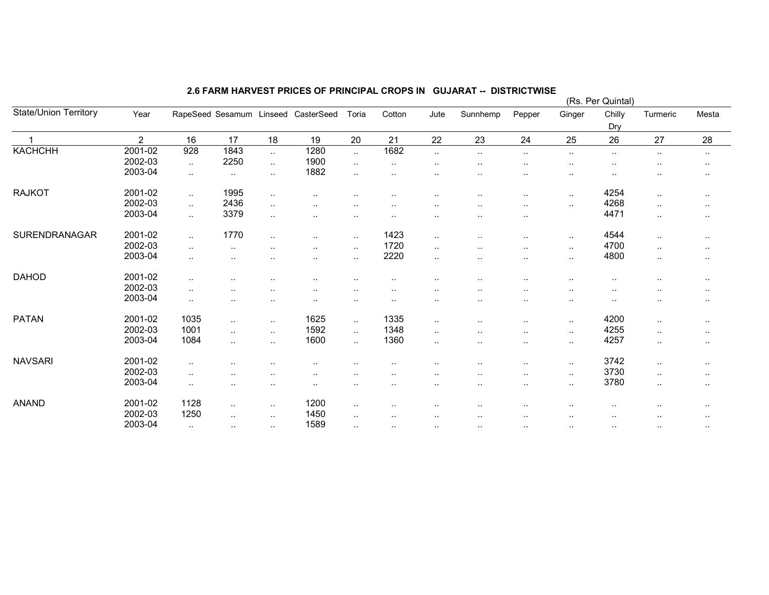| State/Union Territory<br>Ginger<br>Chilly<br>Year<br>RapeSeed Sesamum Linseed CasterSeed<br>Cotton<br>Jute<br>Sunnhemp<br>Turmeric<br>Mesta<br>Toria<br>Pepper<br>Dry<br>$\overline{2}$<br>16<br>17<br>18<br>21<br>23<br>25<br>26<br>28<br>19<br>20<br>22<br>24<br>27<br><b>KACHCHH</b><br>1280<br>1682<br>2001-02<br>928<br>1843<br>$\ddotsc$<br>$\sim$<br>$\sim$<br>$\ldots$<br>$\ldots$<br>$\cdot$ .<br>$\ddotsc$<br>$\cdot$ .<br>$\sim$<br>2250<br>1900<br>2002-03<br>$\sim$<br>$\sim$<br>$\sim$<br>$\cdot$ .<br>$\sim$<br>$\sim$<br><br>$\sim$<br>$\ddot{\phantom{a}}$<br>$\ddotsc$<br>$\sim$<br>2003-04<br>1882<br>$\sim$<br>$\cdot$ .<br>$\sim$<br>$\sim$<br><br>$\ddot{\phantom{a}}$<br>$\cdot$ .<br>$\cdot$ .<br>$\cdot$ .<br><b>RAJKOT</b><br>2001-02<br>1995<br>4254<br>$\ddotsc$<br>$\sim$<br>$\ddot{\phantom{a}}$<br>$\cdot$ .<br>$\cdot$ .<br>$\cdot$ .<br>$\sim$<br>$\cdot$ .<br>. .<br>$\cdot$ .<br>$\sim$<br>2436<br>2002-03<br>4268<br>$\ddotsc$<br>$\ddotsc$<br>$\ddot{\phantom{1}}$<br>$\cdot$ .<br>$\ddotsc$<br>$\cdot$ .<br>$\cdot$ .<br><br>$\sim$<br>2003-04<br>3379<br>4471<br>$\ddotsc$<br>$\sim$<br><br>$\sim$<br>$\sim$<br>$\cdot$ .<br>$\sim$<br>$\sim$<br><br>$\sim$<br>SURENDRANAGAR<br>2001-02<br>1770<br>1423<br>4544<br>$\sim$<br>$\sim$ $\sim$<br><br>$\sim$<br>$\sim$<br>$\cdot$ .<br>$\cdot$ .<br>$\sim$<br>$\cdot$ .<br>$\sim$<br>2002-03<br>1720<br>4700<br>$\sim$<br>$\ddotsc$<br>$\sim$<br>$\sim$<br><br>$\sim$<br>$\ldots$<br>$\cdot$ .<br>$\ddot{\phantom{a}}$<br>$\cdot$ .<br>$\sim$<br>2003-04<br>2220<br>4800<br>$\ddotsc$<br>$\sim$<br>$\sim$<br>$\cdot$ .<br><br>$\ddotsc$<br>٠.<br>$\sim$<br>$\sim$<br>$\cdot$ .<br>$\sim$<br><b>DAHOD</b><br>2001-02<br>$\sim$<br>$\sim$ $\sim$<br>$\sim$<br>٠.<br>$\sim$<br>$\cdot$ .<br>$\cdot$ .<br>$\sim$<br>$\sim$<br>$\sim$<br>$\sim$<br>$\sim$<br>$\sim$<br>2002-03<br>$\ldots$<br><br>$\sim$<br>. .<br>2003-04<br>$\sim$<br>$\cdot$ .<br><br>$\sim$<br>٠.<br>$\ddot{\phantom{a}}$<br>$\cdot$ .<br>$\sim$<br>$\cdot$ .<br>$\sim$ $\sim$<br>$\sim$<br>$\ddot{\phantom{a}}$<br>$\cdot$ .<br><b>PATAN</b><br>2001-02<br>1035<br>1625<br>1335<br>4200<br>$\sim$<br>$\sim$<br>$\ddotsc$<br>$\sim$<br>$\sim$<br>$\cdot$ .<br>$\sim$<br>$\sim$<br>1592<br>1348<br>2002-03<br>1001<br>4255<br>$\ddotsc$<br>$\sim$<br>$\sim$<br>$\sim$<br>$\ldots$<br>$\sim$<br>$\cdot$ .<br>$\cdot$ .<br>$\sim$ |  |  |  |  |  |  | (Rs. Per Quintal) |  |
|----------------------------------------------------------------------------------------------------------------------------------------------------------------------------------------------------------------------------------------------------------------------------------------------------------------------------------------------------------------------------------------------------------------------------------------------------------------------------------------------------------------------------------------------------------------------------------------------------------------------------------------------------------------------------------------------------------------------------------------------------------------------------------------------------------------------------------------------------------------------------------------------------------------------------------------------------------------------------------------------------------------------------------------------------------------------------------------------------------------------------------------------------------------------------------------------------------------------------------------------------------------------------------------------------------------------------------------------------------------------------------------------------------------------------------------------------------------------------------------------------------------------------------------------------------------------------------------------------------------------------------------------------------------------------------------------------------------------------------------------------------------------------------------------------------------------------------------------------------------------------------------------------------------------------------------------------------------------------------------------------------------------------------------------------------------------------------------------------------------------------------------------------------------------------------------------------------------------------------------------------------------------------------------------------------------------------------------------------------------------------------|--|--|--|--|--|--|-------------------|--|
|                                                                                                                                                                                                                                                                                                                                                                                                                                                                                                                                                                                                                                                                                                                                                                                                                                                                                                                                                                                                                                                                                                                                                                                                                                                                                                                                                                                                                                                                                                                                                                                                                                                                                                                                                                                                                                                                                                                                                                                                                                                                                                                                                                                                                                                                                                                                                                                  |  |  |  |  |  |  |                   |  |
|                                                                                                                                                                                                                                                                                                                                                                                                                                                                                                                                                                                                                                                                                                                                                                                                                                                                                                                                                                                                                                                                                                                                                                                                                                                                                                                                                                                                                                                                                                                                                                                                                                                                                                                                                                                                                                                                                                                                                                                                                                                                                                                                                                                                                                                                                                                                                                                  |  |  |  |  |  |  |                   |  |
|                                                                                                                                                                                                                                                                                                                                                                                                                                                                                                                                                                                                                                                                                                                                                                                                                                                                                                                                                                                                                                                                                                                                                                                                                                                                                                                                                                                                                                                                                                                                                                                                                                                                                                                                                                                                                                                                                                                                                                                                                                                                                                                                                                                                                                                                                                                                                                                  |  |  |  |  |  |  |                   |  |
|                                                                                                                                                                                                                                                                                                                                                                                                                                                                                                                                                                                                                                                                                                                                                                                                                                                                                                                                                                                                                                                                                                                                                                                                                                                                                                                                                                                                                                                                                                                                                                                                                                                                                                                                                                                                                                                                                                                                                                                                                                                                                                                                                                                                                                                                                                                                                                                  |  |  |  |  |  |  |                   |  |
|                                                                                                                                                                                                                                                                                                                                                                                                                                                                                                                                                                                                                                                                                                                                                                                                                                                                                                                                                                                                                                                                                                                                                                                                                                                                                                                                                                                                                                                                                                                                                                                                                                                                                                                                                                                                                                                                                                                                                                                                                                                                                                                                                                                                                                                                                                                                                                                  |  |  |  |  |  |  |                   |  |
|                                                                                                                                                                                                                                                                                                                                                                                                                                                                                                                                                                                                                                                                                                                                                                                                                                                                                                                                                                                                                                                                                                                                                                                                                                                                                                                                                                                                                                                                                                                                                                                                                                                                                                                                                                                                                                                                                                                                                                                                                                                                                                                                                                                                                                                                                                                                                                                  |  |  |  |  |  |  |                   |  |
|                                                                                                                                                                                                                                                                                                                                                                                                                                                                                                                                                                                                                                                                                                                                                                                                                                                                                                                                                                                                                                                                                                                                                                                                                                                                                                                                                                                                                                                                                                                                                                                                                                                                                                                                                                                                                                                                                                                                                                                                                                                                                                                                                                                                                                                                                                                                                                                  |  |  |  |  |  |  |                   |  |
|                                                                                                                                                                                                                                                                                                                                                                                                                                                                                                                                                                                                                                                                                                                                                                                                                                                                                                                                                                                                                                                                                                                                                                                                                                                                                                                                                                                                                                                                                                                                                                                                                                                                                                                                                                                                                                                                                                                                                                                                                                                                                                                                                                                                                                                                                                                                                                                  |  |  |  |  |  |  |                   |  |
|                                                                                                                                                                                                                                                                                                                                                                                                                                                                                                                                                                                                                                                                                                                                                                                                                                                                                                                                                                                                                                                                                                                                                                                                                                                                                                                                                                                                                                                                                                                                                                                                                                                                                                                                                                                                                                                                                                                                                                                                                                                                                                                                                                                                                                                                                                                                                                                  |  |  |  |  |  |  |                   |  |
|                                                                                                                                                                                                                                                                                                                                                                                                                                                                                                                                                                                                                                                                                                                                                                                                                                                                                                                                                                                                                                                                                                                                                                                                                                                                                                                                                                                                                                                                                                                                                                                                                                                                                                                                                                                                                                                                                                                                                                                                                                                                                                                                                                                                                                                                                                                                                                                  |  |  |  |  |  |  |                   |  |
|                                                                                                                                                                                                                                                                                                                                                                                                                                                                                                                                                                                                                                                                                                                                                                                                                                                                                                                                                                                                                                                                                                                                                                                                                                                                                                                                                                                                                                                                                                                                                                                                                                                                                                                                                                                                                                                                                                                                                                                                                                                                                                                                                                                                                                                                                                                                                                                  |  |  |  |  |  |  |                   |  |
|                                                                                                                                                                                                                                                                                                                                                                                                                                                                                                                                                                                                                                                                                                                                                                                                                                                                                                                                                                                                                                                                                                                                                                                                                                                                                                                                                                                                                                                                                                                                                                                                                                                                                                                                                                                                                                                                                                                                                                                                                                                                                                                                                                                                                                                                                                                                                                                  |  |  |  |  |  |  |                   |  |
|                                                                                                                                                                                                                                                                                                                                                                                                                                                                                                                                                                                                                                                                                                                                                                                                                                                                                                                                                                                                                                                                                                                                                                                                                                                                                                                                                                                                                                                                                                                                                                                                                                                                                                                                                                                                                                                                                                                                                                                                                                                                                                                                                                                                                                                                                                                                                                                  |  |  |  |  |  |  |                   |  |
|                                                                                                                                                                                                                                                                                                                                                                                                                                                                                                                                                                                                                                                                                                                                                                                                                                                                                                                                                                                                                                                                                                                                                                                                                                                                                                                                                                                                                                                                                                                                                                                                                                                                                                                                                                                                                                                                                                                                                                                                                                                                                                                                                                                                                                                                                                                                                                                  |  |  |  |  |  |  |                   |  |
|                                                                                                                                                                                                                                                                                                                                                                                                                                                                                                                                                                                                                                                                                                                                                                                                                                                                                                                                                                                                                                                                                                                                                                                                                                                                                                                                                                                                                                                                                                                                                                                                                                                                                                                                                                                                                                                                                                                                                                                                                                                                                                                                                                                                                                                                                                                                                                                  |  |  |  |  |  |  |                   |  |
|                                                                                                                                                                                                                                                                                                                                                                                                                                                                                                                                                                                                                                                                                                                                                                                                                                                                                                                                                                                                                                                                                                                                                                                                                                                                                                                                                                                                                                                                                                                                                                                                                                                                                                                                                                                                                                                                                                                                                                                                                                                                                                                                                                                                                                                                                                                                                                                  |  |  |  |  |  |  |                   |  |
|                                                                                                                                                                                                                                                                                                                                                                                                                                                                                                                                                                                                                                                                                                                                                                                                                                                                                                                                                                                                                                                                                                                                                                                                                                                                                                                                                                                                                                                                                                                                                                                                                                                                                                                                                                                                                                                                                                                                                                                                                                                                                                                                                                                                                                                                                                                                                                                  |  |  |  |  |  |  |                   |  |
|                                                                                                                                                                                                                                                                                                                                                                                                                                                                                                                                                                                                                                                                                                                                                                                                                                                                                                                                                                                                                                                                                                                                                                                                                                                                                                                                                                                                                                                                                                                                                                                                                                                                                                                                                                                                                                                                                                                                                                                                                                                                                                                                                                                                                                                                                                                                                                                  |  |  |  |  |  |  |                   |  |
|                                                                                                                                                                                                                                                                                                                                                                                                                                                                                                                                                                                                                                                                                                                                                                                                                                                                                                                                                                                                                                                                                                                                                                                                                                                                                                                                                                                                                                                                                                                                                                                                                                                                                                                                                                                                                                                                                                                                                                                                                                                                                                                                                                                                                                                                                                                                                                                  |  |  |  |  |  |  |                   |  |
|                                                                                                                                                                                                                                                                                                                                                                                                                                                                                                                                                                                                                                                                                                                                                                                                                                                                                                                                                                                                                                                                                                                                                                                                                                                                                                                                                                                                                                                                                                                                                                                                                                                                                                                                                                                                                                                                                                                                                                                                                                                                                                                                                                                                                                                                                                                                                                                  |  |  |  |  |  |  |                   |  |
| 1600<br>2003-04<br>1084<br>1360<br>4257<br>$\ddotsc$<br>$\ddotsc$<br>$\sim$<br>$\ddotsc$<br>$\ddotsc$<br>$\cdot$ .<br>$\cdot$ .<br>$\cdot$ .<br>$\sim$                                                                                                                                                                                                                                                                                                                                                                                                                                                                                                                                                                                                                                                                                                                                                                                                                                                                                                                                                                                                                                                                                                                                                                                                                                                                                                                                                                                                                                                                                                                                                                                                                                                                                                                                                                                                                                                                                                                                                                                                                                                                                                                                                                                                                           |  |  |  |  |  |  |                   |  |
|                                                                                                                                                                                                                                                                                                                                                                                                                                                                                                                                                                                                                                                                                                                                                                                                                                                                                                                                                                                                                                                                                                                                                                                                                                                                                                                                                                                                                                                                                                                                                                                                                                                                                                                                                                                                                                                                                                                                                                                                                                                                                                                                                                                                                                                                                                                                                                                  |  |  |  |  |  |  |                   |  |
| <b>NAVSARI</b><br>2001-02<br>3742<br>$\sim$<br>$\sim$<br>$\cdot$ .<br>$\sim$<br><br>$\cdot$ .<br>$\sim$                                                                                                                                                                                                                                                                                                                                                                                                                                                                                                                                                                                                                                                                                                                                                                                                                                                                                                                                                                                                                                                                                                                                                                                                                                                                                                                                                                                                                                                                                                                                                                                                                                                                                                                                                                                                                                                                                                                                                                                                                                                                                                                                                                                                                                                                          |  |  |  |  |  |  |                   |  |
| 2002-03<br>3730<br>$\ldots$<br>$\cdots$<br>$\ddotsc$<br>$\ddotsc$<br>.,<br><br>$\cdot$ .<br>$\sim$                                                                                                                                                                                                                                                                                                                                                                                                                                                                                                                                                                                                                                                                                                                                                                                                                                                                                                                                                                                                                                                                                                                                                                                                                                                                                                                                                                                                                                                                                                                                                                                                                                                                                                                                                                                                                                                                                                                                                                                                                                                                                                                                                                                                                                                                               |  |  |  |  |  |  |                   |  |
| 2003-04<br>3780<br>$\sim$<br>$\sim$<br>$\sim$ $\sim$<br>$\sim$<br><br>$\cdot$ .<br>$\sim$<br>$\sim$<br>$\cdot$ .<br>$\sim$<br><br>$\sim$                                                                                                                                                                                                                                                                                                                                                                                                                                                                                                                                                                                                                                                                                                                                                                                                                                                                                                                                                                                                                                                                                                                                                                                                                                                                                                                                                                                                                                                                                                                                                                                                                                                                                                                                                                                                                                                                                                                                                                                                                                                                                                                                                                                                                                         |  |  |  |  |  |  |                   |  |
|                                                                                                                                                                                                                                                                                                                                                                                                                                                                                                                                                                                                                                                                                                                                                                                                                                                                                                                                                                                                                                                                                                                                                                                                                                                                                                                                                                                                                                                                                                                                                                                                                                                                                                                                                                                                                                                                                                                                                                                                                                                                                                                                                                                                                                                                                                                                                                                  |  |  |  |  |  |  |                   |  |
| 2001-02<br>1128<br><b>ANAND</b><br>1200<br>$\ddotsc$<br>$\sim$<br>$\sim$<br><br><br>$\cdots$<br><br>$\sim$<br>$\ddot{\phantom{a}}$<br><br>$\sim$                                                                                                                                                                                                                                                                                                                                                                                                                                                                                                                                                                                                                                                                                                                                                                                                                                                                                                                                                                                                                                                                                                                                                                                                                                                                                                                                                                                                                                                                                                                                                                                                                                                                                                                                                                                                                                                                                                                                                                                                                                                                                                                                                                                                                                 |  |  |  |  |  |  |                   |  |
| 2002-03<br>1450<br>1250<br><br>$\sim$<br>$\sim$<br>$\sim$<br>$\cdots$<br>$\sim$<br>$\sim$<br>$\ddot{\phantom{a}}$<br>$\ddot{\phantom{a}}$<br>$\sim$                                                                                                                                                                                                                                                                                                                                                                                                                                                                                                                                                                                                                                                                                                                                                                                                                                                                                                                                                                                                                                                                                                                                                                                                                                                                                                                                                                                                                                                                                                                                                                                                                                                                                                                                                                                                                                                                                                                                                                                                                                                                                                                                                                                                                              |  |  |  |  |  |  |                   |  |
| 2003-04<br>1589<br>$\sim$<br>$\sim$<br>$\sim$<br>$\cdot$ .<br>$\cdot$ .<br>$\cdot$ .<br>$\sim$<br>$\sim$<br>$\sim$<br>$\sim$<br>$\cdot$ .<br>$\sim$ $\sim$                                                                                                                                                                                                                                                                                                                                                                                                                                                                                                                                                                                                                                                                                                                                                                                                                                                                                                                                                                                                                                                                                                                                                                                                                                                                                                                                                                                                                                                                                                                                                                                                                                                                                                                                                                                                                                                                                                                                                                                                                                                                                                                                                                                                                       |  |  |  |  |  |  |                   |  |